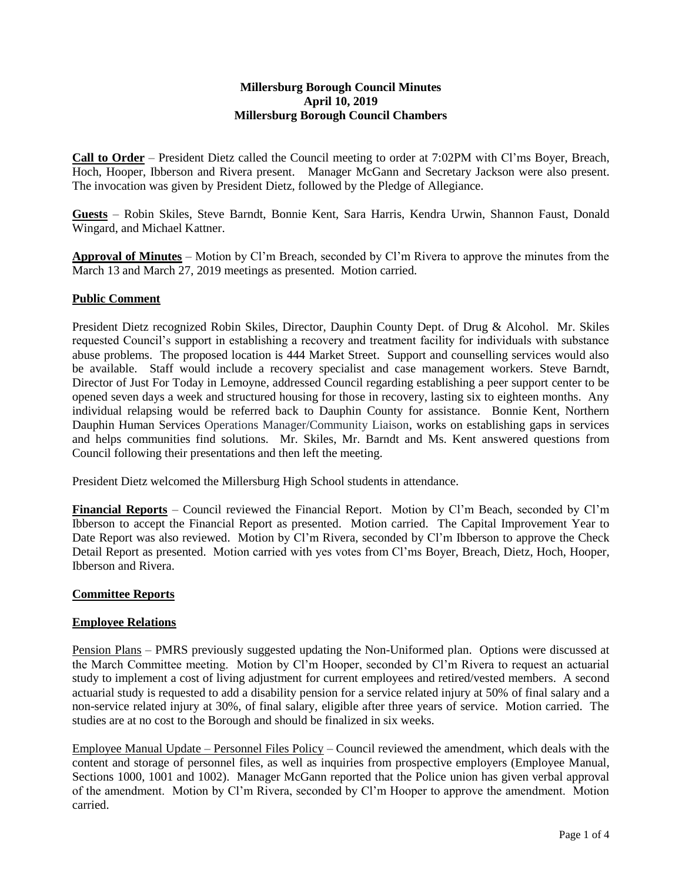### **Millersburg Borough Council Minutes April 10, 2019 Millersburg Borough Council Chambers**

**Call to Order** – President Dietz called the Council meeting to order at 7:02PM with Cl'ms Boyer, Breach, Hoch, Hooper, Ibberson and Rivera present. Manager McGann and Secretary Jackson were also present. The invocation was given by President Dietz, followed by the Pledge of Allegiance.

**Guests** – Robin Skiles, Steve Barndt, Bonnie Kent, Sara Harris, Kendra Urwin, Shannon Faust, Donald Wingard, and Michael Kattner.

**Approval of Minutes** – Motion by Cl'm Breach, seconded by Cl'm Rivera to approve the minutes from the March 13 and March 27, 2019 meetings as presented. Motion carried.

### **Public Comment**

President Dietz recognized Robin Skiles, Director, Dauphin County Dept. of Drug & Alcohol. Mr. Skiles requested Council's support in establishing a recovery and treatment facility for individuals with substance abuse problems. The proposed location is 444 Market Street. Support and counselling services would also be available. Staff would include a recovery specialist and case management workers. Steve Barndt, Director of Just For Today in Lemoyne, addressed Council regarding establishing a peer support center to be opened seven days a week and structured housing for those in recovery, lasting six to eighteen months. Any individual relapsing would be referred back to Dauphin County for assistance. Bonnie Kent, Northern Dauphin Human Services Operations Manager/Community Liaison, works on establishing gaps in services and helps communities find solutions. Mr. Skiles, Mr. Barndt and Ms. Kent answered questions from Council following their presentations and then left the meeting.

President Dietz welcomed the Millersburg High School students in attendance.

**Financial Reports** – Council reviewed the Financial Report. Motion by Cl'm Beach, seconded by Cl'm Ibberson to accept the Financial Report as presented. Motion carried. The Capital Improvement Year to Date Report was also reviewed. Motion by Cl'm Rivera, seconded by Cl'm Ibberson to approve the Check Detail Report as presented. Motion carried with yes votes from Cl'ms Boyer, Breach, Dietz, Hoch, Hooper, Ibberson and Rivera.

### **Committee Reports**

### **Employee Relations**

Pension Plans – PMRS previously suggested updating the Non-Uniformed plan. Options were discussed at the March Committee meeting. Motion by Cl'm Hooper, seconded by Cl'm Rivera to request an actuarial study to implement a cost of living adjustment for current employees and retired/vested members. A second actuarial study is requested to add a disability pension for a service related injury at 50% of final salary and a non-service related injury at 30%, of final salary, eligible after three years of service. Motion carried. The studies are at no cost to the Borough and should be finalized in six weeks.

Employee Manual Update – Personnel Files Policy – Council reviewed the amendment, which deals with the content and storage of personnel files, as well as inquiries from prospective employers (Employee Manual, Sections 1000, 1001 and 1002). Manager McGann reported that the Police union has given verbal approval of the amendment. Motion by Cl'm Rivera, seconded by Cl'm Hooper to approve the amendment. Motion carried.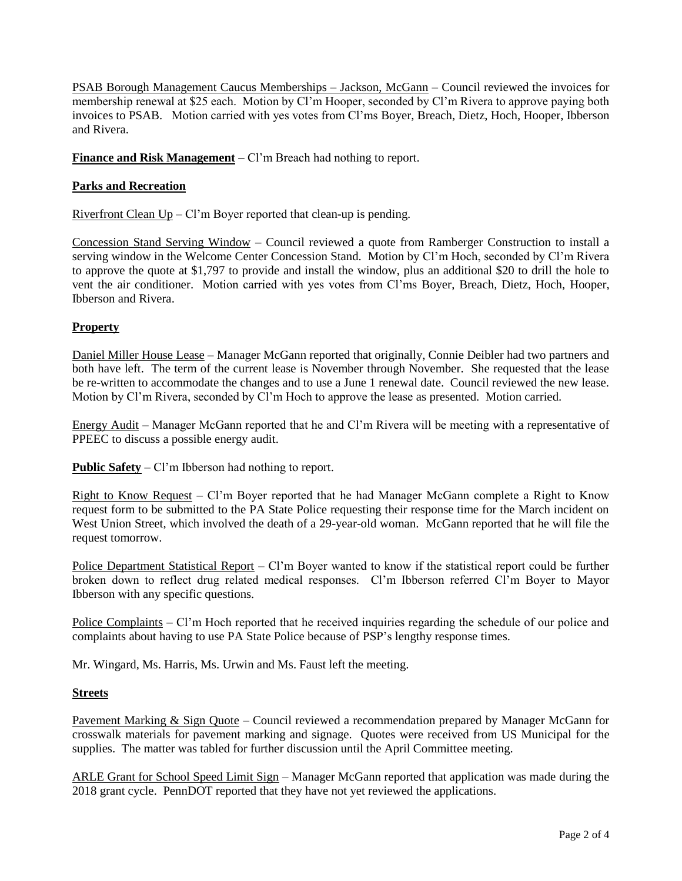PSAB Borough Management Caucus Memberships – Jackson, McGann – Council reviewed the invoices for membership renewal at \$25 each. Motion by Cl'm Hooper, seconded by Cl'm Rivera to approve paying both invoices to PSAB. Motion carried with yes votes from Cl'ms Boyer, Breach, Dietz, Hoch, Hooper, Ibberson and Rivera.

**Finance and Risk Management** – Cl'm Breach had nothing to report.

## **Parks and Recreation**

Riverfront Clean  $Up - Cl$ 'm Boyer reported that clean-up is pending.

Concession Stand Serving Window – Council reviewed a quote from Ramberger Construction to install a serving window in the Welcome Center Concession Stand. Motion by Cl'm Hoch, seconded by Cl'm Rivera to approve the quote at \$1,797 to provide and install the window, plus an additional \$20 to drill the hole to vent the air conditioner. Motion carried with yes votes from Cl'ms Boyer, Breach, Dietz, Hoch, Hooper, Ibberson and Rivera.

# **Property**

Daniel Miller House Lease – Manager McGann reported that originally, Connie Deibler had two partners and both have left. The term of the current lease is November through November. She requested that the lease be re-written to accommodate the changes and to use a June 1 renewal date. Council reviewed the new lease. Motion by Cl'm Rivera, seconded by Cl'm Hoch to approve the lease as presented. Motion carried.

Energy Audit – Manager McGann reported that he and Cl'm Rivera will be meeting with a representative of PPEEC to discuss a possible energy audit.

**Public Safety** – Cl'm Ibberson had nothing to report.

Right to Know Request – Cl'm Boyer reported that he had Manager McGann complete a Right to Know request form to be submitted to the PA State Police requesting their response time for the March incident on West Union Street, which involved the death of a 29-year-old woman. McGann reported that he will file the request tomorrow.

Police Department Statistical Report – Cl'm Boyer wanted to know if the statistical report could be further broken down to reflect drug related medical responses. Cl'm Ibberson referred Cl'm Boyer to Mayor Ibberson with any specific questions.

Police Complaints – Cl'm Hoch reported that he received inquiries regarding the schedule of our police and complaints about having to use PA State Police because of PSP's lengthy response times.

Mr. Wingard, Ms. Harris, Ms. Urwin and Ms. Faust left the meeting.

### **Streets**

Pavement Marking & Sign Quote – Council reviewed a recommendation prepared by Manager McGann for crosswalk materials for pavement marking and signage. Quotes were received from US Municipal for the supplies. The matter was tabled for further discussion until the April Committee meeting.

ARLE Grant for School Speed Limit Sign – Manager McGann reported that application was made during the 2018 grant cycle. PennDOT reported that they have not yet reviewed the applications.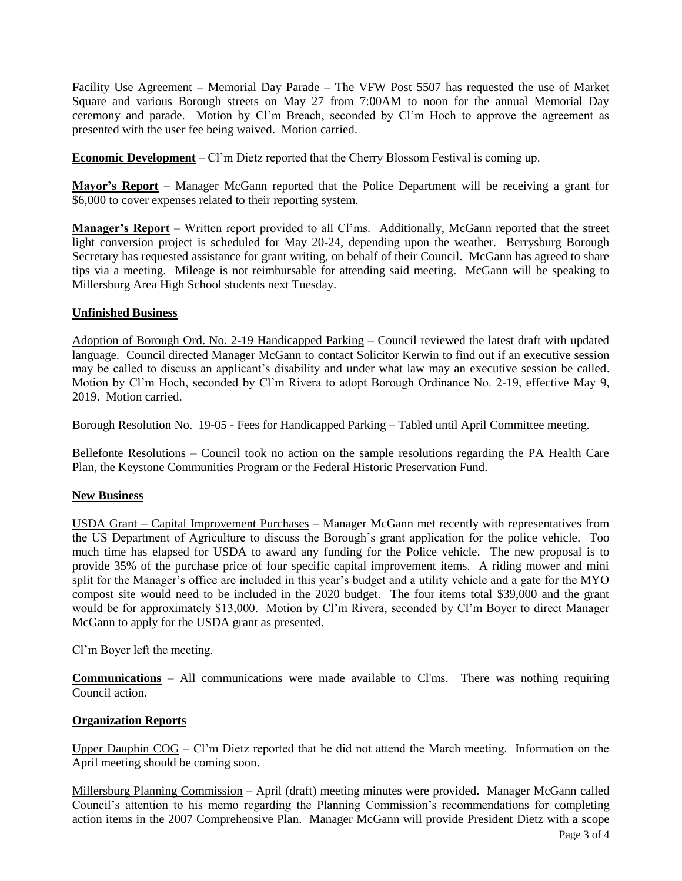Facility Use Agreement – Memorial Day Parade – The VFW Post 5507 has requested the use of Market Square and various Borough streets on May 27 from 7:00AM to noon for the annual Memorial Day ceremony and parade. Motion by Cl'm Breach, seconded by Cl'm Hoch to approve the agreement as presented with the user fee being waived. Motion carried.

**Economic Development –** Cl'm Dietz reported that the Cherry Blossom Festival is coming up.

**Mayor's Report –** Manager McGann reported that the Police Department will be receiving a grant for \$6,000 to cover expenses related to their reporting system.

**Manager's Report** – Written report provided to all Cl'ms. Additionally, McGann reported that the street light conversion project is scheduled for May 20-24, depending upon the weather. Berrysburg Borough Secretary has requested assistance for grant writing, on behalf of their Council. McGann has agreed to share tips via a meeting. Mileage is not reimbursable for attending said meeting. McGann will be speaking to Millersburg Area High School students next Tuesday.

### **Unfinished Business**

Adoption of Borough Ord. No. 2-19 Handicapped Parking – Council reviewed the latest draft with updated language. Council directed Manager McGann to contact Solicitor Kerwin to find out if an executive session may be called to discuss an applicant's disability and under what law may an executive session be called. Motion by Cl'm Hoch, seconded by Cl'm Rivera to adopt Borough Ordinance No. 2-19, effective May 9, 2019. Motion carried.

Borough Resolution No. 19-05 - Fees for Handicapped Parking – Tabled until April Committee meeting.

Bellefonte Resolutions – Council took no action on the sample resolutions regarding the PA Health Care Plan, the Keystone Communities Program or the Federal Historic Preservation Fund.

### **New Business**

USDA Grant – Capital Improvement Purchases – Manager McGann met recently with representatives from the US Department of Agriculture to discuss the Borough's grant application for the police vehicle. Too much time has elapsed for USDA to award any funding for the Police vehicle. The new proposal is to provide 35% of the purchase price of four specific capital improvement items. A riding mower and mini split for the Manager's office are included in this year's budget and a utility vehicle and a gate for the MYO compost site would need to be included in the 2020 budget. The four items total \$39,000 and the grant would be for approximately \$13,000. Motion by Cl'm Rivera, seconded by Cl'm Boyer to direct Manager McGann to apply for the USDA grant as presented.

Cl'm Boyer left the meeting.

**Communications** – All communications were made available to Cl'ms. There was nothing requiring Council action.

### **Organization Reports**

Upper Dauphin COG – Cl'm Dietz reported that he did not attend the March meeting. Information on the April meeting should be coming soon.

Millersburg Planning Commission – April (draft) meeting minutes were provided. Manager McGann called Council's attention to his memo regarding the Planning Commission's recommendations for completing action items in the 2007 Comprehensive Plan. Manager McGann will provide President Dietz with a scope